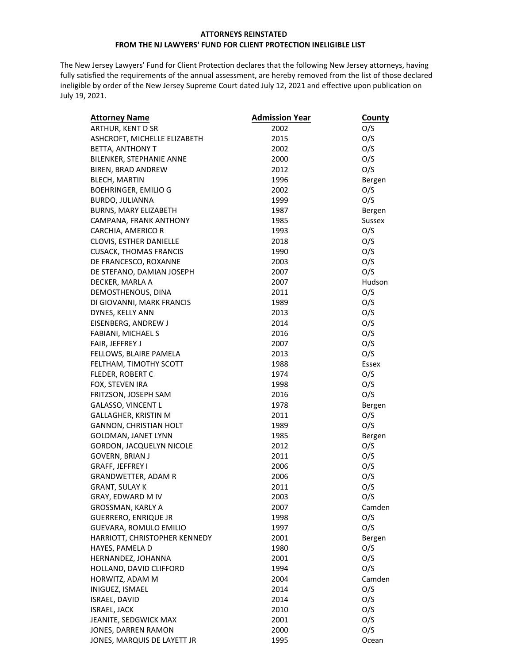## **ATTORNEYS REINSTATED FROM THE NJ LAWYERS' FUND FOR CLIENT PROTECTION INELIGIBLE LIST**

The New Jersey Lawyers' Fund for Client Protection declares that the following New Jersey attorneys, having fully satisfied the requirements of the annual assessment, are hereby removed from the list of those declared ineligible by order of the New Jersey Supreme Court dated July 12, 2021 and effective upon publication on July 19, 2021.

| <b>Attorney Name</b>          | <b>Admission Year</b> | <b>County</b> |
|-------------------------------|-----------------------|---------------|
| ARTHUR, KENT D SR             | 2002                  | O/S           |
| ASHCROFT, MICHELLE ELIZABETH  | 2015                  | O/S           |
| BETTA, ANTHONY T              | 2002                  | O/S           |
| BILENKER, STEPHANIE ANNE      | 2000                  | O/S           |
| BIREN, BRAD ANDREW            | 2012                  | O/S           |
| <b>BLECH, MARTIN</b>          | 1996                  | Bergen        |
| <b>BOEHRINGER, EMILIO G</b>   | 2002                  | O/S           |
| BURDO, JULIANNA               | 1999                  | O/S           |
| BURNS, MARY ELIZABETH         | 1987                  | Bergen        |
| CAMPANA, FRANK ANTHONY        | 1985                  | <b>Sussex</b> |
| CARCHIA, AMERICO R            | 1993                  | O/S           |
| CLOVIS, ESTHER DANIELLE       | 2018                  | O/S           |
| <b>CUSACK, THOMAS FRANCIS</b> | 1990                  | O/S           |
| DE FRANCESCO, ROXANNE         | 2003                  | O/S           |
| DE STEFANO, DAMIAN JOSEPH     | 2007                  | O/S           |
| DECKER, MARLA A               | 2007                  | Hudson        |
| DEMOSTHENOUS, DINA            | 2011                  | O/S           |
| DI GIOVANNI, MARK FRANCIS     | 1989                  | O/S           |
| DYNES, KELLY ANN              | 2013                  | O/S           |
| EISENBERG, ANDREW J           | 2014                  | O/S           |
| FABIANI, MICHAEL S            | 2016                  | O/S           |
| FAIR, JEFFREY J               | 2007                  | O/S           |
| FELLOWS, BLAIRE PAMELA        | 2013                  | O/S           |
| FELTHAM, TIMOTHY SCOTT        | 1988                  | Essex         |
| FLEDER, ROBERT C              | 1974                  | O/S           |
| FOX, STEVEN IRA               | 1998                  | O/S           |
| FRITZSON, JOSEPH SAM          | 2016                  | O/S           |
| GALASSO, VINCENT L            | 1978                  | Bergen        |
| GALLAGHER, KRISTIN M          | 2011                  | O/S           |
| GANNON, CHRISTIAN HOLT        | 1989                  | O/S           |
| GOLDMAN, JANET LYNN           | 1985                  | Bergen        |
| GORDON, JACQUELYN NICOLE      | 2012                  | O/S           |
| GOVERN, BRIAN J               | 2011                  | O/S           |
| GRAFF, JEFFREY I              | 2006                  | O/S           |
| GRANDWETTER, ADAM R           | 2006                  | O/S           |
| <b>GRANT, SULAY K</b>         | 2011                  | O/S           |
| GRAY, EDWARD M IV             | 2003                  | O/S           |
| GROSSMAN, KARLY A             | 2007                  | Camden        |
| <b>GUERRERO, ENRIQUE JR</b>   | 1998                  | O/S           |
| GUEVARA, ROMULO EMILIO        | 1997                  | O/S           |
| HARRIOTT, CHRISTOPHER KENNEDY | 2001                  | Bergen        |
| HAYES, PAMELA D               | 1980                  | O/S           |
| HERNANDEZ, JOHANNA            | 2001                  | O/S           |
| HOLLAND, DAVID CLIFFORD       | 1994                  | O/S           |
| HORWITZ, ADAM M               | 2004                  | Camden        |
| INIGUEZ, ISMAEL               | 2014                  | O/S           |
| ISRAEL, DAVID                 | 2014                  | O/S           |
| <b>ISRAEL, JACK</b>           | 2010                  | O/S           |
| JEANITE, SEDGWICK MAX         | 2001                  | O/S           |
| JONES, DARREN RAMON           | 2000                  | O/S           |
| JONES, MARQUIS DE LAYETT JR   | 1995                  | Ocean         |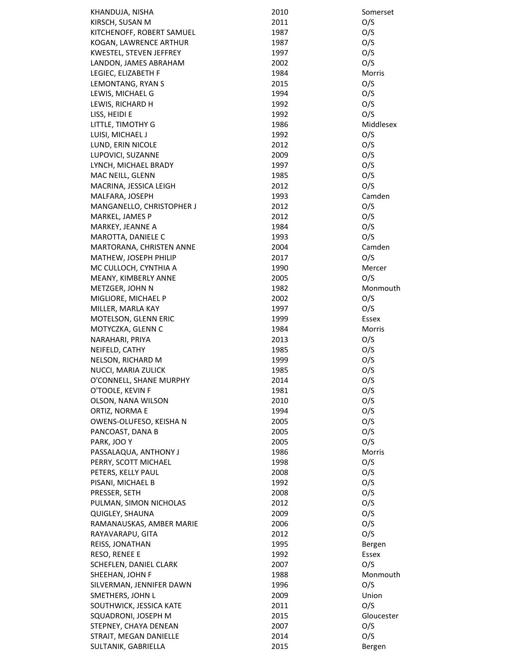| KHANDUJA, NISHA           | 2010 | Somerset   |
|---------------------------|------|------------|
| KIRSCH, SUSAN M           | 2011 | O/S        |
| KITCHENOFF, ROBERT SAMUEL | 1987 | O/S        |
| KOGAN, LAWRENCE ARTHUR    | 1987 | O/S        |
| KWESTEL, STEVEN JEFFREY   | 1997 | O/S        |
| LANDON, JAMES ABRAHAM     | 2002 | O/S        |
| LEGIEC, ELIZABETH F       | 1984 | Morris     |
| LEMONTANG, RYAN S         | 2015 | O/S        |
| LEWIS, MICHAEL G          | 1994 | O/S        |
| LEWIS, RICHARD H          | 1992 | O/S        |
| LISS, HEIDI E             | 1992 | O/S        |
| LITTLE, TIMOTHY G         | 1986 | Middlesex  |
| LUISI, MICHAEL J          | 1992 | O/S        |
| LUND, ERIN NICOLE         | 2012 | O/S        |
| LUPOVICI, SUZANNE         | 2009 | O/S        |
| LYNCH, MICHAEL BRADY      | 1997 | O/S        |
| MAC NEILL, GLENN          | 1985 | O/S        |
| MACRINA, JESSICA LEIGH    | 2012 | O/S        |
| MALFARA, JOSEPH           | 1993 | Camden     |
| MANGANELLO, CHRISTOPHER J | 2012 | O/S        |
| MARKEL, JAMES P           | 2012 | O/S        |
| MARKEY, JEANNE A          | 1984 | O/S        |
| MAROTTA, DANIELE C        | 1993 | O/S        |
| MARTORANA, CHRISTEN ANNE  | 2004 | Camden     |
| MATHEW, JOSEPH PHILIP     | 2017 | O/S        |
| MC CULLOCH, CYNTHIA A     | 1990 | Mercer     |
| MEANY, KIMBERLY ANNE      | 2005 | O/S        |
| METZGER, JOHN N           | 1982 | Monmouth   |
| MIGLIORE, MICHAEL P       | 2002 | O/S        |
| MILLER, MARLA KAY         | 1997 | O/S        |
| MOTELSON, GLENN ERIC      | 1999 | Essex      |
| MOTYCZKA, GLENN C         | 1984 | Morris     |
| NARAHARI, PRIYA           | 2013 | O/S        |
| NEIFELD, CATHY            | 1985 | O/S        |
| NELSON, RICHARD M         | 1999 | O/S        |
| NUCCI, MARIA ZULICK       | 1985 |            |
|                           |      | O/S        |
| O'CONNELL, SHANE MURPHY   | 2014 | O/S        |
| O'TOOLE, KEVIN F          | 1981 | O/S        |
| OLSON, NANA WILSON        | 2010 | O/S        |
| ORTIZ, NORMA E            | 1994 | O/S        |
| OWENS-OLUFESO, KEISHA N   | 2005 | O/S        |
| PANCOAST, DANA B          | 2005 | O/S        |
| PARK, JOO Y               | 2005 | O/S        |
| PASSALAQUA, ANTHONY J     | 1986 | Morris     |
| PERRY, SCOTT MICHAEL      | 1998 | O/S        |
| PETERS, KELLY PAUL        | 2008 | O/S        |
| PISANI, MICHAEL B         | 1992 | O/S        |
| PRESSER, SETH             | 2008 | O/S        |
| PULMAN, SIMON NICHOLAS    | 2012 | O/S        |
| QUIGLEY, SHAUNA           | 2009 | O/S        |
| RAMANAUSKAS, AMBER MARIE  | 2006 | O/S        |
| RAYAVARAPU, GITA          | 2012 | O/S        |
| REISS, JONATHAN           | 1995 | Bergen     |
| RESO, RENEE E             | 1992 | Essex      |
| SCHEFLEN, DANIEL CLARK    | 2007 | O/S        |
| SHEEHAN, JOHN F           | 1988 | Monmouth   |
| SILVERMAN, JENNIFER DAWN  | 1996 | O/S        |
| SMETHERS, JOHN L          | 2009 | Union      |
| SOUTHWICK, JESSICA KATE   | 2011 | O/S        |
| SQUADRONI, JOSEPH M       | 2015 | Gloucester |
| STEPNEY, CHAYA DENEAN     | 2007 | O/S        |
| STRAIT, MEGAN DANIELLE    | 2014 | O/S        |
| SULTANIK, GABRIELLA       | 2015 | Bergen     |